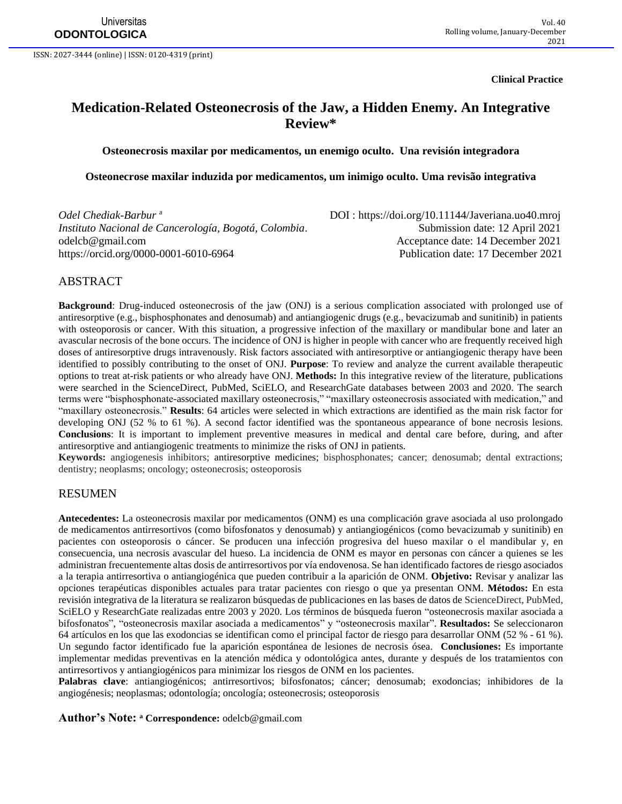**Clinical Practice**

# **Medication-Related Osteonecrosis of the Jaw, a Hidden Enemy. An Integrative Review\***

**Osteonecrosis maxilar por medicamentos, un enemigo oculto. Una revisión integradora**

**Osteonecrose maxilar induzida por medicamentos, um inimigo oculto. Uma revisão integrativa**

*Odel Chediak-Barbur* <sup>a</sup> *Instituto Nacional de Cancerología, Bogotá, Colombia.* Submission date: 12 April 2021 [odelcb@gmail.com](mailto:odelcb@gmail.com) Acceptance date: 14 December 2021

 DOI :<https://doi.org/10.11144/Javeriana.uo40.mroj> <https://orcid.org/0000-0001-6010-6964> Publication date: 17 December 2021

### ABSTRACT

**Background**: Drug-induced osteonecrosis of the jaw (ONJ) is a serious complication associated with prolonged use of antiresorptive (e.g., bisphosphonates and denosumab) and antiangiogenic drugs (e.g., bevacizumab and sunitinib) in patients with osteoporosis or cancer. With this situation, a progressive infection of the maxillary or mandibular bone and later an avascular necrosis of the bone occurs. The incidence of ONJ is higher in people with cancer who are frequently received high doses of antiresorptive drugs intravenously. Risk factors associated with antiresorptive or antiangiogenic therapy have been identified to possibly contributing to the onset of ONJ. **Purpose**: To review and analyze the current available therapeutic options to treat at-risk patients or who already have ONJ. **Methods:** In this integrative review of the literature, publications were searched in the ScienceDirect, PubMed, SciELO, and ResearchGate databases between 2003 and 2020. The search terms were "bisphosphonate-associated maxillary osteonecrosis," "maxillary osteonecrosis associated with medication," and "maxillary osteonecrosis." **Results**: 64 articles were selected in which extractions are identified as the main risk factor for developing ONJ (52 % to 61 %). A second factor identified was the spontaneous appearance of bone necrosis lesions. **Conclusions**: It is important to implement preventive measures in medical and dental care before, during, and after antiresorptive and antiangiogenic treatments to minimize the risks of ONJ in patients.

**Keywords:** angiogenesis inhibitors; antiresorptive medicines; bisphosphonates; cancer; denosumab; dental extractions; dentistry; neoplasms; oncology; osteonecrosis; osteoporosis

### RESUMEN

**Antecedentes:** La osteonecrosis maxilar por medicamentos (ONM) es una complicación grave asociada al uso prolongado de medicamentos antirresortivos (como bifosfonatos y denosumab) y antiangiogénicos (como bevacizumab y sunitinib) en pacientes con osteoporosis o cáncer. Se producen una infección progresiva del hueso maxilar o el mandibular y, en consecuencia, una necrosis avascular del hueso. La incidencia de ONM es mayor en personas con cáncer a quienes se les administran frecuentemente altas dosis de antirresortivos por vía endovenosa. Se han identificado factores de riesgo asociados a la terapia antirresortiva o antiangiogénica que pueden contribuir a la aparición de ONM. **Objetivo:** Revisar y analizar las opciones terapéuticas disponibles actuales para tratar pacientes con riesgo o que ya presentan ONM. **Métodos:** En esta revisión integrativa de la literatura se realizaron búsquedas de publicaciones en las bases de datos de ScienceDirect, PubMed, SciELO y ResearchGate realizadas entre 2003 y 2020. Los términos de búsqueda fueron "osteonecrosis maxilar asociada a bifosfonatos", "osteonecrosis maxilar asociada a medicamentos" y "osteonecrosis maxilar". **Resultados:** Se seleccionaron 64 artículos en los que las exodoncias se identifican como el principal factor de riesgo para desarrollar ONM (52 % - 61 %). Un segundo factor identificado fue la aparición espontánea de lesiones de necrosis ósea. **Conclusiones:** Es importante implementar medidas preventivas en la atención médica y odontológica antes, durante y después de los tratamientos con antirresortivos y antiangiogénicos para minimizar los riesgos de ONM en los pacientes.

**Palabras clave**: antiangiogénicos; antirresortivos; bifosfonatos; cáncer; denosumab; exodoncias; inhibidores de la angiogénesis; neoplasmas; odontología; oncología; osteonecrosis; osteoporosis

**Author's Note: <sup>a</sup> Correspondence:** [odelcb@gmail.com](mailto:odelcb@gmail.com)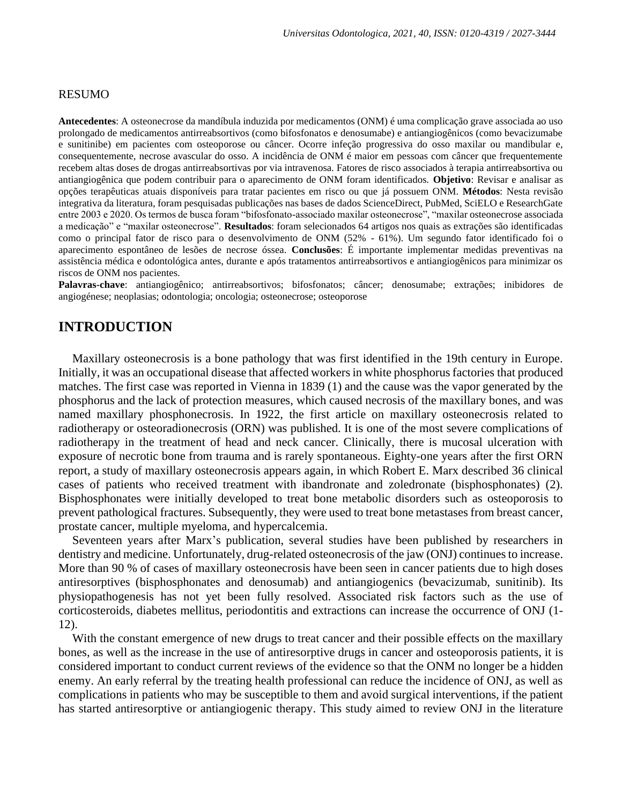#### RESUMO

**Antecedentes**: A osteonecrose da mandíbula induzida por medicamentos (ONM) é uma complicação grave associada ao uso prolongado de medicamentos antirreabsortivos (como bifosfonatos e denosumabe) e antiangiogênicos (como bevacizumabe e sunitinibe) em pacientes com osteoporose ou câncer. Ocorre infeção progressiva do osso maxilar ou mandibular e, consequentemente, necrose avascular do osso. A incidência de ONM é maior em pessoas com câncer que frequentemente recebem altas doses de drogas antirreabsortivas por via intravenosa. Fatores de risco associados à terapia antirreabsortiva ou antiangiogênica que podem contribuir para o aparecimento de ONM foram identificados. **Objetivo**: Revisar e analisar as opções terapêuticas atuais disponíveis para tratar pacientes em risco ou que já possuem ONM. **Métodos**: Nesta revisão integrativa da literatura, foram pesquisadas publicações nas bases de dados ScienceDirect, PubMed, SciELO e ResearchGate entre 2003 e 2020. Os termos de busca foram "bifosfonato-associado maxilar osteonecrose", "maxilar osteonecrose associada a medicação" e "maxilar osteonecrose". **Resultados**: foram selecionados 64 artigos nos quais as extrações são identificadas como o principal fator de risco para o desenvolvimento de ONM (52% - 61%). Um segundo fator identificado foi o aparecimento espontâneo de lesões de necrose óssea. **Conclusões**: É importante implementar medidas preventivas na assistência médica e odontológica antes, durante e após tratamentos antirreabsortivos e antiangiogênicos para minimizar os riscos de ONM nos pacientes.

**Palavras-chave**: antiangiogênico; antirreabsortivos; bifosfonatos; câncer; denosumabe; extrações; inibidores de angiogénese; neoplasias; odontologia; oncologia; osteonecrose; osteoporose

# **INTRODUCTION**

Maxillary osteonecrosis is a bone pathology that was first identified in the 19th century in Europe. Initially, it was an occupational disease that affected workers in white phosphorus factories that produced matches. The first case was reported in Vienna in 1839 (1) and the cause was the vapor generated by the phosphorus and the lack of protection measures, which caused necrosis of the maxillary bones, and was named maxillary phosphonecrosis. In 1922, the first article on maxillary osteonecrosis related to radiotherapy or osteoradionecrosis (ORN) was published. It is one of the most severe complications of radiotherapy in the treatment of head and neck cancer. Clinically, there is mucosal ulceration with exposure of necrotic bone from trauma and is rarely spontaneous. Eighty-one years after the first ORN report, a study of maxillary osteonecrosis appears again, in which Robert E. Marx described 36 clinical cases of patients who received treatment with ibandronate and zoledronate (bisphosphonates) (2). Bisphosphonates were initially developed to treat bone metabolic disorders such as osteoporosis to prevent pathological fractures. Subsequently, they were used to treat bone metastases from breast cancer, prostate cancer, multiple myeloma, and hypercalcemia.

Seventeen years after Marx's publication, several studies have been published by researchers in dentistry and medicine. Unfortunately, drug-related osteonecrosis of the jaw (ONJ) continues to increase. More than 90 % of cases of maxillary osteonecrosis have been seen in cancer patients due to high doses antiresorptives (bisphosphonates and denosumab) and antiangiogenics (bevacizumab, sunitinib). Its physiopathogenesis has not yet been fully resolved. Associated risk factors such as the use of corticosteroids, diabetes mellitus, periodontitis and extractions can increase the occurrence of ONJ (1- 12).

With the constant emergence of new drugs to treat cancer and their possible effects on the maxillary bones, as well as the increase in the use of antiresorptive drugs in cancer and osteoporosis patients, it is considered important to conduct current reviews of the evidence so that the ONM no longer be a hidden enemy. An early referral by the treating health professional can reduce the incidence of ONJ, as well as complications in patients who may be susceptible to them and avoid surgical interventions, if the patient has started antiresorptive or antiangiogenic therapy. This study aimed to review ONJ in the literature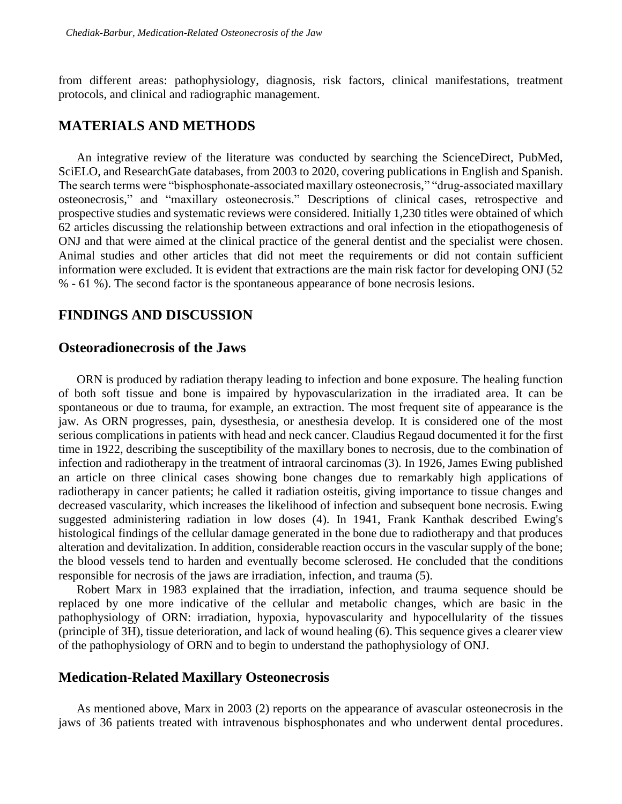from different areas: pathophysiology, diagnosis, risk factors, clinical manifestations, treatment protocols, and clinical and radiographic management.

## **MATERIALS AND METHODS**

An integrative review of the literature was conducted by searching the ScienceDirect, PubMed, SciELO, and ResearchGate databases, from 2003 to 2020, covering publications in English and Spanish. The search terms were "bisphosphonate-associated maxillary osteonecrosis," "drug-associated maxillary osteonecrosis," and "maxillary osteonecrosis." Descriptions of clinical cases, retrospective and prospective studies and systematic reviews were considered. Initially 1,230 titles were obtained of which 62 articles discussing the relationship between extractions and oral infection in the etiopathogenesis of ONJ and that were aimed at the clinical practice of the general dentist and the specialist were chosen. Animal studies and other articles that did not meet the requirements or did not contain sufficient information were excluded. It is evident that extractions are the main risk factor for developing ONJ (52 % - 61 %). The second factor is the spontaneous appearance of bone necrosis lesions.

# **FINDINGS AND DISCUSSION**

## **Osteoradionecrosis of the Jaws**

ORN is produced by radiation therapy leading to infection and bone exposure. The healing function of both soft tissue and bone is impaired by hypovascularization in the irradiated area. It can be spontaneous or due to trauma, for example, an extraction. The most frequent site of appearance is the jaw. As ORN progresses, pain, dysesthesia, or anesthesia develop. It is considered one of the most serious complications in patients with head and neck cancer. Claudius Regaud documented it for the first time in 1922, describing the susceptibility of the maxillary bones to necrosis, due to the combination of infection and radiotherapy in the treatment of intraoral carcinomas (3). In 1926, James Ewing published an article on three clinical cases showing bone changes due to remarkably high applications of radiotherapy in cancer patients; he called it radiation osteitis, giving importance to tissue changes and decreased vascularity, which increases the likelihood of infection and subsequent bone necrosis. Ewing suggested administering radiation in low doses (4). In 1941, Frank Kanthak described Ewing's histological findings of the cellular damage generated in the bone due to radiotherapy and that produces alteration and devitalization. In addition, considerable reaction occurs in the vascular supply of the bone; the blood vessels tend to harden and eventually become sclerosed. He concluded that the conditions responsible for necrosis of the jaws are irradiation, infection, and trauma (5).

Robert Marx in 1983 explained that the irradiation, infection, and trauma sequence should be replaced by one more indicative of the cellular and metabolic changes, which are basic in the pathophysiology of ORN: irradiation, hypoxia, hypovascularity and hypocellularity of the tissues (principle of 3H), tissue deterioration, and lack of wound healing (6). This sequence gives a clearer view of the pathophysiology of ORN and to begin to understand the pathophysiology of ONJ.

### **Medication-Related Maxillary Osteonecrosis**

As mentioned above, Marx in 2003 (2) reports on the appearance of avascular osteonecrosis in the jaws of 36 patients treated with intravenous bisphosphonates and who underwent dental procedures.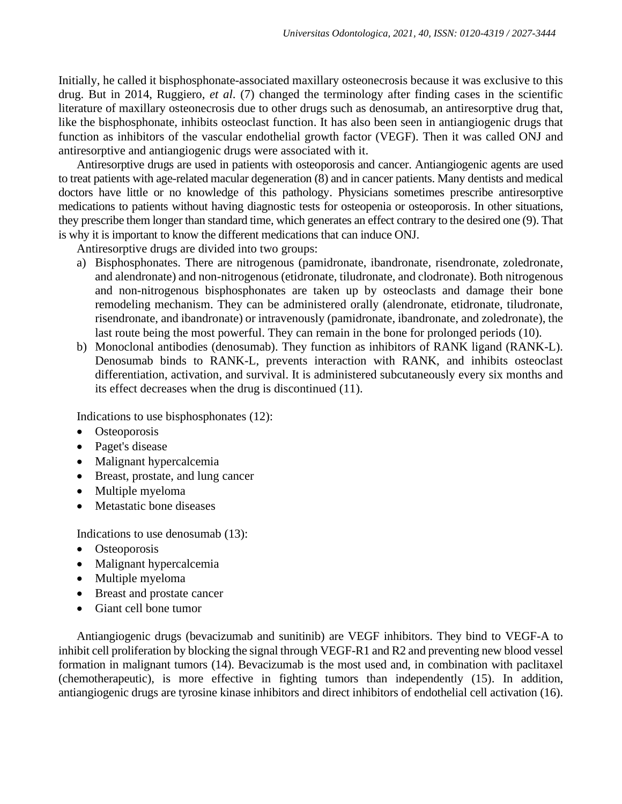Initially, he called it bisphosphonate-associated maxillary osteonecrosis because it was exclusive to this drug. But in 2014, Ruggiero, *et al*. (7) changed the terminology after finding cases in the scientific literature of maxillary osteonecrosis due to other drugs such as denosumab, an antiresorptive drug that, like the bisphosphonate, inhibits osteoclast function. It has also been seen in antiangiogenic drugs that function as inhibitors of the vascular endothelial growth factor (VEGF). Then it was called ONJ and antiresorptive and antiangiogenic drugs were associated with it.

Antiresorptive drugs are used in patients with osteoporosis and cancer. Antiangiogenic agents are used to treat patients with age-related macular degeneration (8) and in cancer patients. Many dentists and medical doctors have little or no knowledge of this pathology. Physicians sometimes prescribe antiresorptive medications to patients without having diagnostic tests for osteopenia or osteoporosis. In other situations, they prescribe them longer than standard time, which generates an effect contrary to the desired one (9). That is why it is important to know the different medications that can induce ONJ.

Antiresorptive drugs are divided into two groups:

- a) Bisphosphonates. There are nitrogenous (pamidronate, ibandronate, risendronate, zoledronate, and alendronate) and non-nitrogenous (etidronate, tiludronate, and clodronate). Both nitrogenous and non-nitrogenous bisphosphonates are taken up by osteoclasts and damage their bone remodeling mechanism. They can be administered orally (alendronate, etidronate, tiludronate, risendronate, and ibandronate) or intravenously (pamidronate, ibandronate, and zoledronate), the last route being the most powerful. They can remain in the bone for prolonged periods (10).
- b) Monoclonal antibodies (denosumab). They function as inhibitors of RANK ligand (RANK-L). Denosumab binds to RANK-L, prevents interaction with RANK, and inhibits osteoclast differentiation, activation, and survival. It is administered subcutaneously every six months and its effect decreases when the drug is discontinued (11).

Indications to use bisphosphonates (12):

- Osteoporosis
- Paget's disease
- Malignant hypercalcemia
- Breast, prostate, and lung cancer
- Multiple myeloma
- Metastatic bone diseases

Indications to use denosumab (13):

- Osteoporosis
- Malignant hypercalcemia
- Multiple myeloma
- Breast and prostate cancer
- Giant cell bone tumor

Antiangiogenic drugs (bevacizumab and sunitinib) are VEGF inhibitors. They bind to VEGF-A to inhibit cell proliferation by blocking the signal through VEGF-R1 and R2 and preventing new blood vessel formation in malignant tumors (14). Bevacizumab is the most used and, in combination with paclitaxel (chemotherapeutic), is more effective in fighting tumors than independently (15). In addition, antiangiogenic drugs are tyrosine kinase inhibitors and direct inhibitors of endothelial cell activation (16).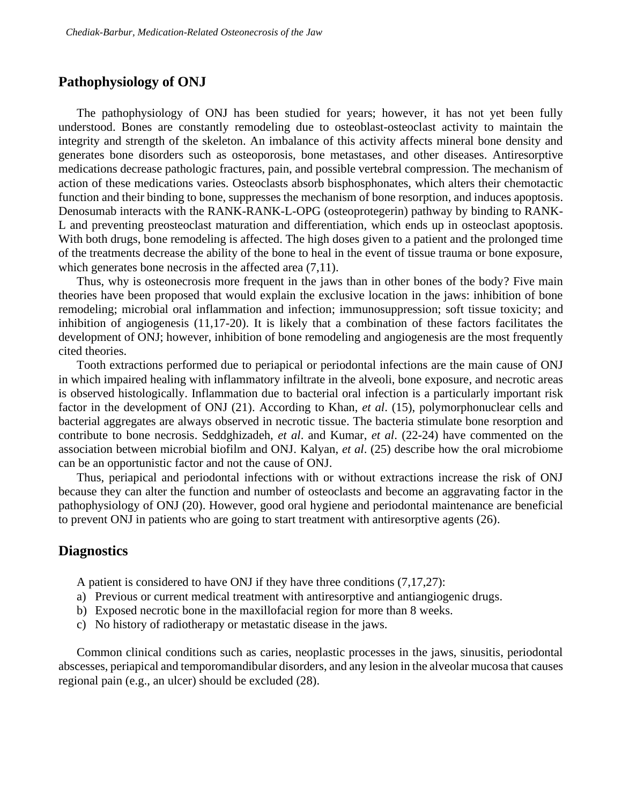## **Pathophysiology of ONJ**

The pathophysiology of ONJ has been studied for years; however, it has not yet been fully understood. Bones are constantly remodeling due to osteoblast-osteoclast activity to maintain the integrity and strength of the skeleton. An imbalance of this activity affects mineral bone density and generates bone disorders such as osteoporosis, bone metastases, and other diseases. Antiresorptive medications decrease pathologic fractures, pain, and possible vertebral compression. The mechanism of action of these medications varies. Osteoclasts absorb bisphosphonates, which alters their chemotactic function and their binding to bone, suppresses the mechanism of bone resorption, and induces apoptosis. Denosumab interacts with the RANK-RANK-L-OPG (osteoprotegerin) pathway by binding to RANK-L and preventing preosteoclast maturation and differentiation, which ends up in osteoclast apoptosis. With both drugs, bone remodeling is affected. The high doses given to a patient and the prolonged time of the treatments decrease the ability of the bone to heal in the event of tissue trauma or bone exposure, which generates bone necrosis in the affected area  $(7,11)$ .

Thus, why is osteonecrosis more frequent in the jaws than in other bones of the body? Five main theories have been proposed that would explain the exclusive location in the jaws: inhibition of bone remodeling; microbial oral inflammation and infection; immunosuppression; soft tissue toxicity; and inhibition of angiogenesis (11,17-20). It is likely that a combination of these factors facilitates the development of ONJ; however, inhibition of bone remodeling and angiogenesis are the most frequently cited theories.

Tooth extractions performed due to periapical or periodontal infections are the main cause of ONJ in which impaired healing with inflammatory infiltrate in the alveoli, bone exposure, and necrotic areas is observed histologically. Inflammation due to bacterial oral infection is a particularly important risk factor in the development of ONJ (21). According to Khan, *et al*. (15), polymorphonuclear cells and bacterial aggregates are always observed in necrotic tissue. The bacteria stimulate bone resorption and contribute to bone necrosis. Seddghizadeh, *et al*. and Kumar, *et al*. (22-24) have commented on the association between microbial biofilm and ONJ. Kalyan, *et al*. (25) describe how the oral microbiome can be an opportunistic factor and not the cause of ONJ.

Thus, periapical and periodontal infections with or without extractions increase the risk of ONJ because they can alter the function and number of osteoclasts and become an aggravating factor in the pathophysiology of ONJ (20). However, good oral hygiene and periodontal maintenance are beneficial to prevent ONJ in patients who are going to start treatment with antiresorptive agents (26).

## **Diagnostics**

A patient is considered to have ONJ if they have three conditions (7,17,27):

- a) Previous or current medical treatment with antiresorptive and antiangiogenic drugs.
- b) Exposed necrotic bone in the maxillofacial region for more than 8 weeks.
- c) No history of radiotherapy or metastatic disease in the jaws.

Common clinical conditions such as caries, neoplastic processes in the jaws, sinusitis, periodontal abscesses, periapical and temporomandibular disorders, and any lesion in the alveolar mucosa that causes regional pain (e.g., an ulcer) should be excluded (28).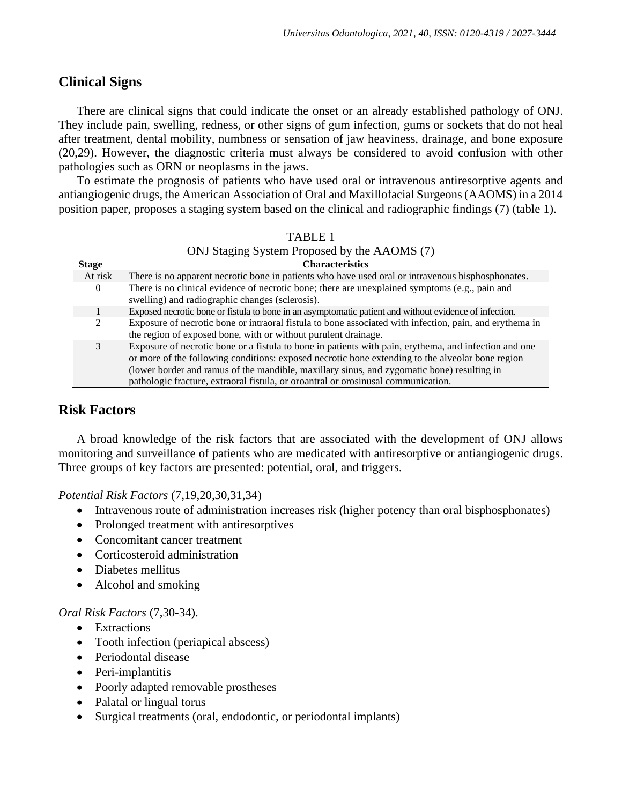# **Clinical Signs**

There are clinical signs that could indicate the onset or an already established pathology of ONJ. They include pain, swelling, redness, or other signs of gum infection, gums or sockets that do not heal after treatment, dental mobility, numbness or sensation of jaw heaviness, drainage, and bone exposure (20,29). However, the diagnostic criteria must always be considered to avoid confusion with other pathologies such as ORN or neoplasms in the jaws.

To estimate the prognosis of patients who have used oral or intravenous antiresorptive agents and antiangiogenic drugs, the American Association of Oral and Maxillofacial Surgeons (AAOMS) in a 2014 position paper, proposes a staging system based on the clinical and radiographic findings (7) (table 1).

|                | <b>TABLE 1</b>                                                                                                                                                                                                                                                                                                                                                                      |
|----------------|-------------------------------------------------------------------------------------------------------------------------------------------------------------------------------------------------------------------------------------------------------------------------------------------------------------------------------------------------------------------------------------|
|                | ONJ Staging System Proposed by the AAOMS (7)                                                                                                                                                                                                                                                                                                                                        |
| <b>Stage</b>   | <b>Characteristics</b>                                                                                                                                                                                                                                                                                                                                                              |
| At risk        | There is no apparent necrotic bone in patients who have used oral or intravenous bisphosphonates.                                                                                                                                                                                                                                                                                   |
| 0              | There is no clinical evidence of necrotic bone; there are unexplained symptoms (e.g., pain and<br>swelling) and radiographic changes (sclerosis).                                                                                                                                                                                                                                   |
|                | Exposed necrotic bone or fistula to bone in an asymptomatic patient and without evidence of infection.                                                                                                                                                                                                                                                                              |
| $\mathfrak{D}$ | Exposure of necrotic bone or intraoral fistula to bone associated with infection, pain, and erythema in<br>the region of exposed bone, with or without purulent drainage.                                                                                                                                                                                                           |
| 3              | Exposure of necrotic bone or a fistula to bone in patients with pain, erythema, and infection and one<br>or more of the following conditions: exposed necrotic bone extending to the alveolar bone region<br>(lower border and ramus of the mandible, maxillary sinus, and zygomatic bone) resulting in<br>pathologic fracture, extraoral fistula, or organization or organization. |

# **Risk Factors**

A broad knowledge of the risk factors that are associated with the development of ONJ allows monitoring and surveillance of patients who are medicated with antiresorptive or antiangiogenic drugs. Three groups of key factors are presented: potential, oral, and triggers.

*Potential Risk Factors* (7,19,20,30,31,34)

- Intravenous route of administration increases risk (higher potency than oral bisphosphonates)
- Prolonged treatment with antiresorptives
- Concomitant cancer treatment
- Corticosteroid administration
- Diabetes mellitus
- Alcohol and smoking

### *Oral Risk Factors* (7,30-34).

- Extractions
- Tooth infection (periapical abscess)
- Periodontal disease
- Peri-implantitis
- Poorly adapted removable prostheses
- Palatal or lingual torus
- Surgical treatments (oral, endodontic, or periodontal implants)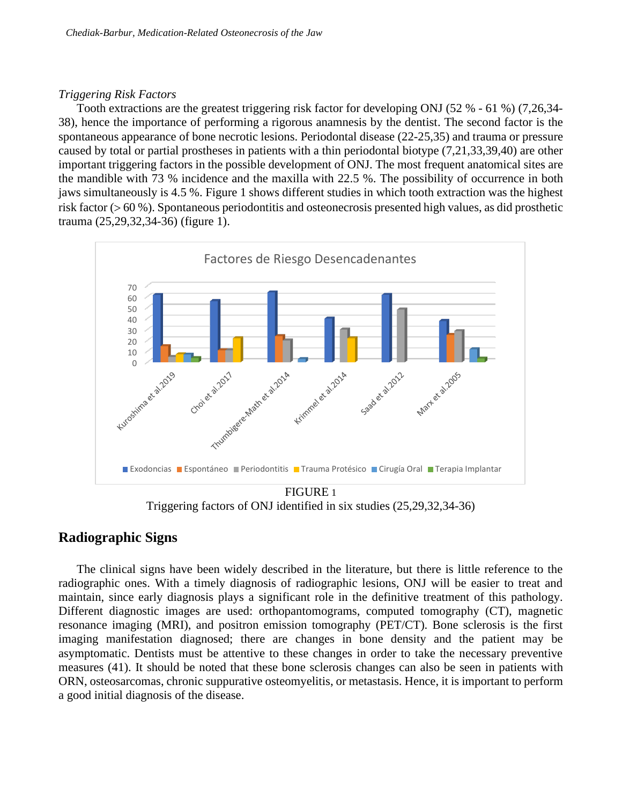### *Triggering Risk Factors*

Tooth extractions are the greatest triggering risk factor for developing ONJ (52 % - 61 %) (7,26,34- 38), hence the importance of performing a rigorous anamnesis by the dentist. The second factor is the spontaneous appearance of bone necrotic lesions. Periodontal disease (22-25,35) and trauma or pressure caused by total or partial prostheses in patients with a thin periodontal biotype (7,21,33,39,40) are other important triggering factors in the possible development of ONJ. The most frequent anatomical sites are the mandible with 73 % incidence and the maxilla with 22.5 %. The possibility of occurrence in both jaws simultaneously is 4.5 %. Figure 1 shows different studies in which tooth extraction was the highest risk factor ( $> 60$  %). Spontaneous periodontitis and osteonecrosis presented high values, as did prosthetic trauma (25,29,32,34-36) (figure 1).



Triggering factors of ONJ identified in six studies (25,29,32,34-36)

# **Radiographic Signs**

The clinical signs have been widely described in the literature, but there is little reference to the radiographic ones. With a timely diagnosis of radiographic lesions, ONJ will be easier to treat and maintain, since early diagnosis plays a significant role in the definitive treatment of this pathology. Different diagnostic images are used: orthopantomograms, computed tomography (CT), magnetic resonance imaging (MRI), and positron emission tomography (PET/CT). Bone sclerosis is the first imaging manifestation diagnosed; there are changes in bone density and the patient may be asymptomatic. Dentists must be attentive to these changes in order to take the necessary preventive measures (41). It should be noted that these bone sclerosis changes can also be seen in patients with ORN, osteosarcomas, chronic suppurative osteomyelitis, or metastasis. Hence, it is important to perform a good initial diagnosis of the disease.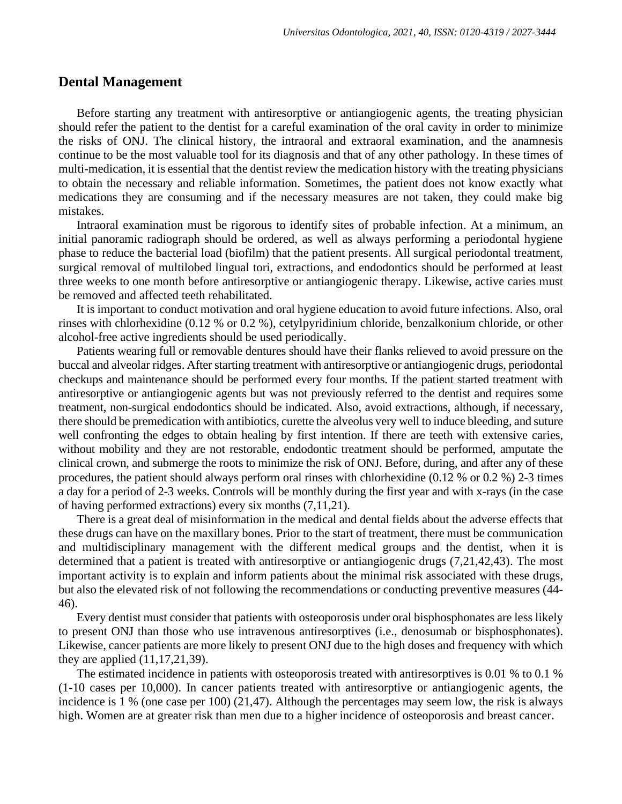### **Dental Management**

Before starting any treatment with antiresorptive or antiangiogenic agents, the treating physician should refer the patient to the dentist for a careful examination of the oral cavity in order to minimize the risks of ONJ. The clinical history, the intraoral and extraoral examination, and the anamnesis continue to be the most valuable tool for its diagnosis and that of any other pathology. In these times of multi-medication, it is essential that the dentist review the medication history with the treating physicians to obtain the necessary and reliable information. Sometimes, the patient does not know exactly what medications they are consuming and if the necessary measures are not taken, they could make big mistakes.

Intraoral examination must be rigorous to identify sites of probable infection. At a minimum, an initial panoramic radiograph should be ordered, as well as always performing a periodontal hygiene phase to reduce the bacterial load (biofilm) that the patient presents. All surgical periodontal treatment, surgical removal of multilobed lingual tori, extractions, and endodontics should be performed at least three weeks to one month before antiresorptive or antiangiogenic therapy. Likewise, active caries must be removed and affected teeth rehabilitated.

It is important to conduct motivation and oral hygiene education to avoid future infections. Also, oral rinses with chlorhexidine (0.12 % or 0.2 %), cetylpyridinium chloride, benzalkonium chloride, or other alcohol-free active ingredients should be used periodically.

Patients wearing full or removable dentures should have their flanks relieved to avoid pressure on the buccal and alveolar ridges. After starting treatment with antiresorptive or antiangiogenic drugs, periodontal checkups and maintenance should be performed every four months. If the patient started treatment with antiresorptive or antiangiogenic agents but was not previously referred to the dentist and requires some treatment, non-surgical endodontics should be indicated. Also, avoid extractions, although, if necessary, there should be premedication with antibiotics, curette the alveolus very well to induce bleeding, and suture well confronting the edges to obtain healing by first intention. If there are teeth with extensive caries, without mobility and they are not restorable, endodontic treatment should be performed, amputate the clinical crown, and submerge the roots to minimize the risk of ONJ. Before, during, and after any of these procedures, the patient should always perform oral rinses with chlorhexidine (0.12 % or 0.2 %) 2-3 times a day for a period of 2-3 weeks. Controls will be monthly during the first year and with x-rays (in the case of having performed extractions) every six months (7,11,21).

There is a great deal of misinformation in the medical and dental fields about the adverse effects that these drugs can have on the maxillary bones. Prior to the start of treatment, there must be communication and multidisciplinary management with the different medical groups and the dentist, when it is determined that a patient is treated with antiresorptive or antiangiogenic drugs (7,21,42,43). The most important activity is to explain and inform patients about the minimal risk associated with these drugs, but also the elevated risk of not following the recommendations or conducting preventive measures (44- 46).

Every dentist must consider that patients with osteoporosis under oral bisphosphonates are less likely to present ONJ than those who use intravenous antiresorptives (i.e., denosumab or bisphosphonates). Likewise, cancer patients are more likely to present ONJ due to the high doses and frequency with which they are applied (11,17,21,39).

The estimated incidence in patients with osteoporosis treated with antiresorptives is 0.01 % to 0.1 % (1-10 cases per 10,000). In cancer patients treated with antiresorptive or antiangiogenic agents, the incidence is 1 % (one case per 100) (21,47). Although the percentages may seem low, the risk is always high. Women are at greater risk than men due to a higher incidence of osteoporosis and breast cancer.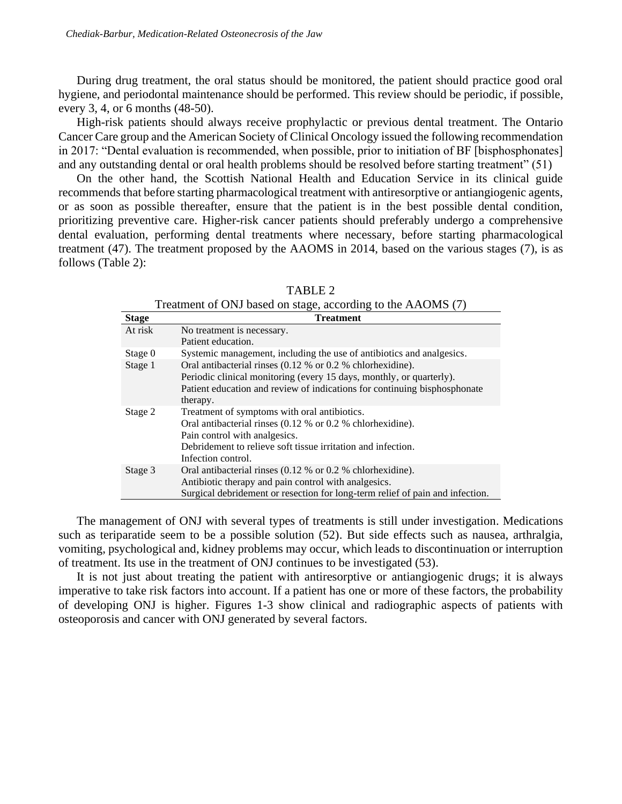During drug treatment, the oral status should be monitored, the patient should practice good oral hygiene, and periodontal maintenance should be performed. This review should be periodic, if possible, every 3, 4, or 6 months (48-50).

High-risk patients should always receive prophylactic or previous dental treatment. The Ontario Cancer Care group and the American Society of Clinical Oncology issued the following recommendation in 2017: "Dental evaluation is recommended, when possible, prior to initiation of BF [bisphosphonates] and any outstanding dental or oral health problems should be resolved before starting treatment" (51)

On the other hand, the Scottish National Health and Education Service in its clinical guide recommends that before starting pharmacological treatment with antiresorptive or antiangiogenic agents, or as soon as possible thereafter, ensure that the patient is in the best possible dental condition, prioritizing preventive care. Higher-risk cancer patients should preferably undergo a comprehensive dental evaluation, performing dental treatments where necessary, before starting pharmacological treatment (47). The treatment proposed by the AAOMS in 2014, based on the various stages (7), is as follows (Table 2):

| Treatment of ONJ based on stage, according to the AAOMS (7) |                                                                                                                                                                                                                                                        |  |
|-------------------------------------------------------------|--------------------------------------------------------------------------------------------------------------------------------------------------------------------------------------------------------------------------------------------------------|--|
| <b>Stage</b>                                                | <b>Treatment</b>                                                                                                                                                                                                                                       |  |
| At risk                                                     | No treatment is necessary.<br>Patient education.                                                                                                                                                                                                       |  |
| Stage 0                                                     | Systemic management, including the use of antibiotics and analgesics.                                                                                                                                                                                  |  |
| Stage 1                                                     | Oral antibacterial rinses $(0.12 \% \text{ or } 0.2 \% \text{ chlorine})$ .<br>Periodic clinical monitoring (every 15 days, monthly, or quarterly).<br>Patient education and review of indications for continuing bisphosphonate<br>therapy.           |  |
| Stage 2                                                     | Treatment of symptoms with oral antibiotics.<br>Oral antibacterial rinses $(0.12 \% \text{ or } 0.2 \% \text{ chlorhexidine}).$<br>Pain control with analgesics.<br>Debridement to relieve soft tissue irritation and infection.<br>Infection control. |  |
| Stage 3                                                     | Oral antibacterial rinses $(0.12 \% \text{ or } 0.2 \% \text{ chlorhexidine}).$<br>Antibiotic therapy and pain control with analgesics.<br>Surgical debridement or resection for long-term relief of pain and infection.                               |  |

TABLE 2

The management of ONJ with several types of treatments is still under investigation. Medications such as teriparatide seem to be a possible solution (52). But side effects such as nausea, arthralgia, vomiting, psychological and, kidney problems may occur, which leads to discontinuation or interruption of treatment. Its use in the treatment of ONJ continues to be investigated (53).

It is not just about treating the patient with antiresorptive or antiangiogenic drugs; it is always imperative to take risk factors into account. If a patient has one or more of these factors, the probability of developing ONJ is higher. Figures 1-3 show clinical and radiographic aspects of patients with osteoporosis and cancer with ONJ generated by several factors.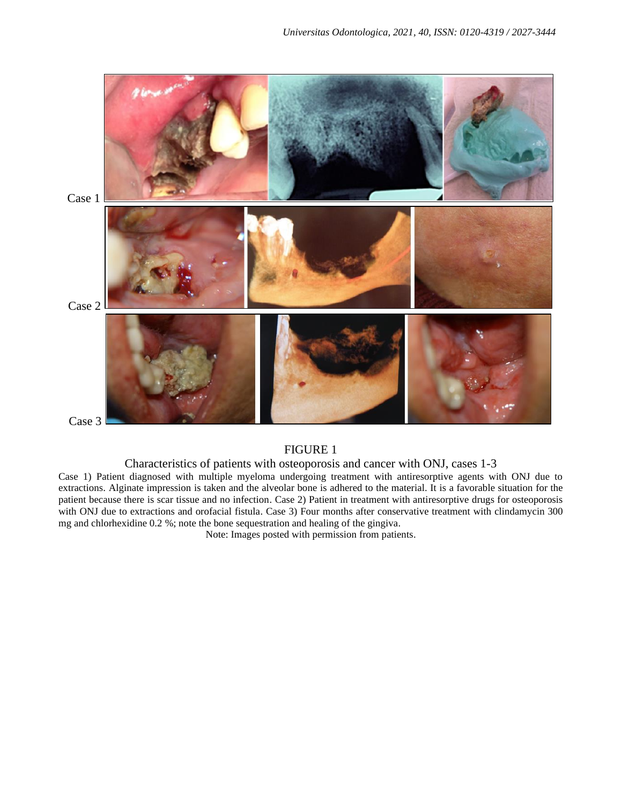

#### FIGURE 1

#### Characteristics of patients with osteoporosis and cancer with ONJ, cases 1-3

Case 1) Patient diagnosed with multiple myeloma undergoing treatment with antiresorptive agents with ONJ due to extractions. Alginate impression is taken and the alveolar bone is adhered to the material. It is a favorable situation for the patient because there is scar tissue and no infection. Case 2) Patient in treatment with antiresorptive drugs for osteoporosis with ONJ due to extractions and orofacial fistula. Case 3) Four months after conservative treatment with clindamycin 300 mg and chlorhexidine 0.2 %; note the bone sequestration and healing of the gingiva.

Note: Images posted with permission from patients.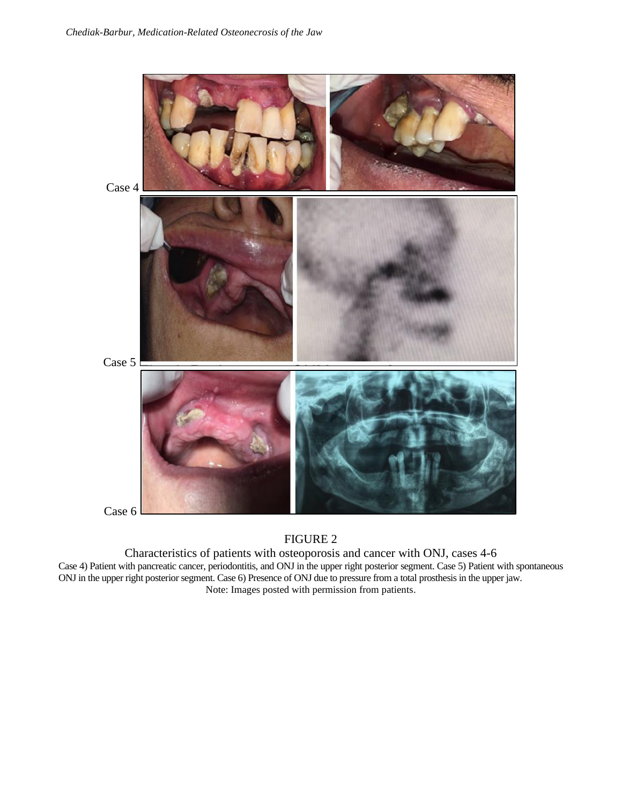

# FIGURE 2

Characteristics of patients with osteoporosis and cancer with ONJ, cases 4-6 Case 4) Patient with pancreatic cancer, periodontitis, and ONJ in the upper right posterior segment. Case 5) Patient with spontaneous ONJ in the upper right posterior segment. Case 6) Presence of ONJ due to pressure from a total prosthesisin the upper jaw. Note: Images posted with permission from patients.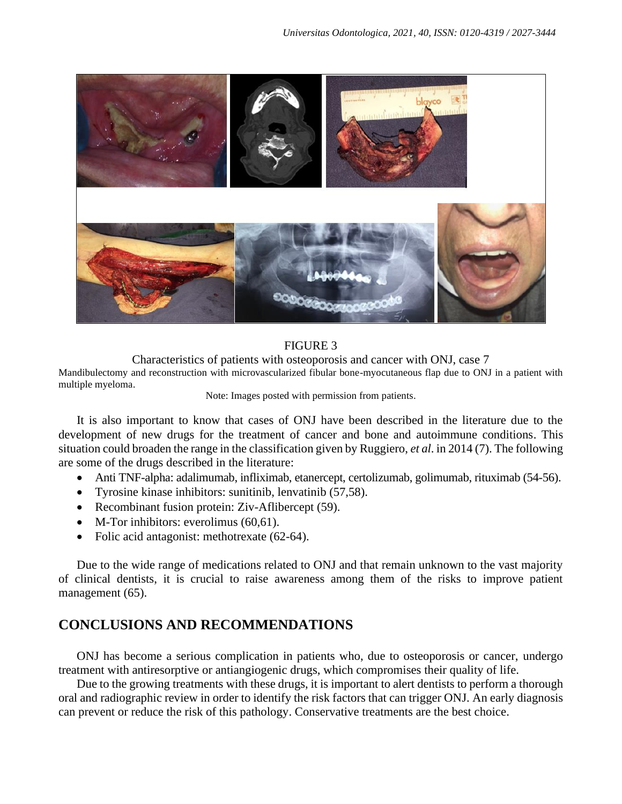

### FIGURE 3

Characteristics of patients with osteoporosis and cancer with ONJ, case 7 Mandibulectomy and reconstruction with microvascularized fibular bone-myocutaneous flap due to ONJ in a patient with multiple myeloma.

#### Note: Images posted with permission from patients.

It is also important to know that cases of ONJ have been described in the literature due to the development of new drugs for the treatment of cancer and bone and autoimmune conditions. This situation could broaden the range in the classification given by Ruggiero, *et al*. in 2014 (7). The following are some of the drugs described in the literature:

- Anti TNF-alpha: adalimumab, infliximab, etanercept, certolizumab, golimumab, rituximab (54-56).
- Tyrosine kinase inhibitors: sunitinib, lenvatinib (57,58).
- Recombinant fusion protein: Ziv-Aflibercept (59).
- M-Tor inhibitors: everolimus (60,61).
- Folic acid antagonist: methotrexate (62-64).

Due to the wide range of medications related to ONJ and that remain unknown to the vast majority of clinical dentists, it is crucial to raise awareness among them of the risks to improve patient management (65).

# **CONCLUSIONS AND RECOMMENDATIONS**

ONJ has become a serious complication in patients who, due to osteoporosis or cancer, undergo treatment with antiresorptive or antiangiogenic drugs, which compromises their quality of life.

Due to the growing treatments with these drugs, it is important to alert dentists to perform a thorough oral and radiographic review in order to identify the risk factors that can trigger ONJ. An early diagnosis can prevent or reduce the risk of this pathology. Conservative treatments are the best choice.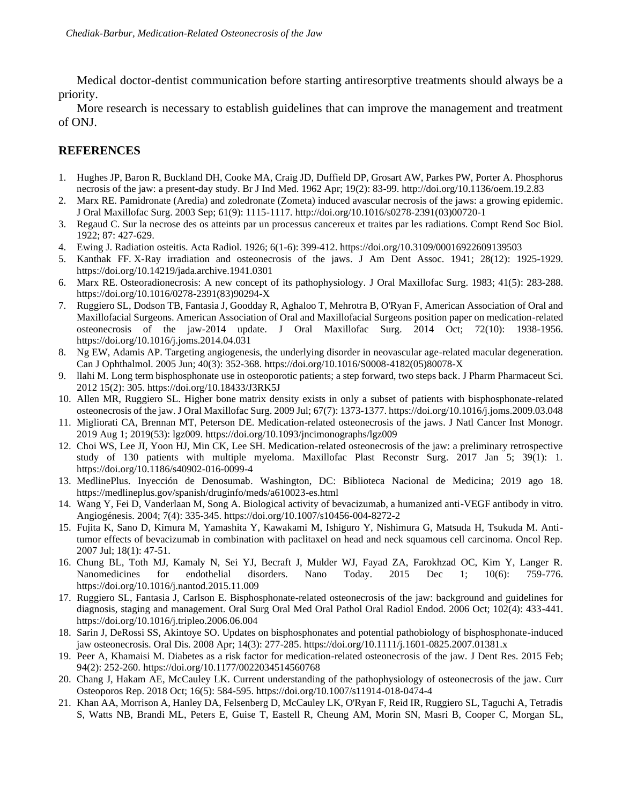Medical doctor-dentist communication before starting antiresorptive treatments should always be a priority.

More research is necessary to establish guidelines that can improve the management and treatment of ONJ.

## **REFERENCES**

- 1. Hughes JP, Baron R, Buckland DH, Cooke MA, Craig JD, Duffield DP, Grosart AW, Parkes PW, Porter A. Phosphorus necrosis of the jaw: a present-day study. Br J Ind Med. 1962 Apr; 19(2): 83-99. <http://doi.org/10.1136/oem.19.2.83>
- 2. Marx RE. Pamidronate (Aredia) and zoledronate (Zometa) induced avascular necrosis of the jaws: a growing epidemic. J Oral Maxillofac Surg. 2003 Sep; 61(9): 1115-1117[. http://doi.org/10.1016/s0278-2391\(03\)00720-1](http://doi.org/10.1016/s0278-2391(03)00720-1)
- 3. Regaud C. Sur la necrose des os atteints par un processus cancereux et traites par les radiations. Compt Rend Soc Biol. 1922; 87: 427-629.
- 4. Ewing J. Radiation osteitis. Acta Radiol. 1926; 6(1-6): 399-412[. https://doi.org/10.3109/00016922609139503](https://doi.org/10.3109/00016922609139503)
- 5. Kanthak FF. X-Ray irradiation and osteonecrosis of the jaws. J Am Dent Assoc. 1941; 28(12): 1925-1929. <https://doi.org/10.14219/jada.archive.1941.0301>
- 6. Marx RE. Osteoradionecrosis: A new concept of its pathophysiology. J Oral Maxillofac Surg. 1983; 41(5): 283-288. [https://doi.org/10.1016/0278-2391\(83\)90294-X](https://doi.org/10.1016/0278-2391(83)90294-X)
- 7. Ruggiero SL, Dodson TB, Fantasia J, Goodday R, Aghaloo T, Mehrotra B, O'Ryan F, American Association of Oral and Maxillofacial Surgeons. American Association of Oral and Maxillofacial Surgeons position paper on medication-related osteonecrosis of the jaw-2014 update. J Oral Maxillofac Surg. 2014 Oct; 72(10): 1938-1956. <https://doi.org/10.1016/j.joms.2014.04.031>
- 8. Ng EW, Adamis AP. Targeting angiogenesis, the underlying disorder in neovascular age-related macular degeneration. Can J Ophthalmol. 2005 Jun; 40(3): 352-368. [https://doi.org/10.1016/S0008-4182\(05\)80078-X](https://doi.org/10.1016/S0008-4182(05)80078-X)
- 9. llahi M. Long term bisphosphonate use in osteoporotic patients; a step forward, two steps back. J Pharm Pharmaceut Sci. 2012 15(2): 305.<https://doi.org/10.18433/J3RK5J>
- 10. Allen MR, Ruggiero SL. Higher bone matrix density exists in only a subset of patients with bisphosphonate-related osteonecrosis of the jaw. J Oral Maxillofac Surg. 2009 Jul; 67(7): 1373-1377[. https://doi.org/10.1016/j.joms.2009.03.048](https://doi.org/10.1016/j.joms.2009.03.048)
- 11. Migliorati CA, Brennan MT, Peterson DE. Medication-related osteonecrosis of the jaws. J Natl Cancer Inst Monogr. 2019 Aug 1; 2019(53): lgz009.<https://doi.org/10.1093/jncimonographs/lgz009>
- 12. Choi WS, Lee JI, Yoon HJ, Min CK, Lee SH. Medication-related osteonecrosis of the jaw: a preliminary retrospective study of 130 patients with multiple myeloma. Maxillofac Plast Reconstr Surg. 2017 Jan 5; 39(1): 1. <https://doi.org/10.1186/s40902-016-0099-4>
- 13. MedlinePlus. Inyección de Denosumab. Washington, DC: Biblioteca Nacional de Medicina; 2019 ago 18. <https://medlineplus.gov/spanish/druginfo/meds/a610023-es.html>
- 14. Wang Y, Fei D, Vanderlaan M, Song A. Biological activity of bevacizumab, a humanized anti-VEGF antibody in vitro. Angiogénesis. 2004; 7(4): 335-345[. https://doi.org/10.1007/s10456-004-8272-2](https://doi.org/10.1007/s10456-004-8272-2)
- 15. Fujita K, Sano D, Kimura M, Yamashita Y, Kawakami M, Ishiguro Y, Nishimura G, Matsuda H, Tsukuda M. Antitumor effects of bevacizumab in combination with paclitaxel on head and neck squamous cell carcinoma. Oncol Rep. 2007 Jul; 18(1): 47-51.
- 16. Chung BL, Toth MJ, Kamaly N, Sei YJ, Becraft J, Mulder WJ, Fayad ZA, Farokhzad OC, Kim Y, Langer R. Nanomedicines for endothelial disorders. Nano Today. 2015 Dec 1; 10(6): 759-776. <https://doi.org/10.1016/j.nantod.2015.11.009>
- 17. Ruggiero SL, Fantasia J, Carlson E. Bisphosphonate-related osteonecrosis of the jaw: background and guidelines for diagnosis, staging and management. Oral Surg Oral Med Oral Pathol Oral Radiol Endod. 2006 Oct; 102(4): 433-441. <https://doi.org/10.1016/j.tripleo.2006.06.004>
- 18. Sarin J, DeRossi SS, Akintoye SO. Updates on bisphosphonates and potential pathobiology of bisphosphonate-induced jaw osteonecrosis. Oral Dis. 2008 Apr; 14(3): 277-285.<https://doi.org/10.1111/j.1601-0825.2007.01381.x>
- 19. Peer A, Khamaisi M. Diabetes as a risk factor for medication-related osteonecrosis of the jaw. J Dent Res. 2015 Feb; 94(2): 252-260.<https://doi.org/10.1177/0022034514560768>
- 20. Chang J, Hakam AE, McCauley LK. Current understanding of the pathophysiology of osteonecrosis of the jaw. Curr Osteoporos Rep. 2018 Oct; 16(5): 584-595.<https://doi.org/10.1007/s11914-018-0474-4>
- 21. Khan AA, Morrison A, Hanley DA, Felsenberg D, McCauley LK, O'Ryan F, Reid IR, Ruggiero SL, Taguchi A, Tetradis S, Watts NB, Brandi ML, Peters E, Guise T, Eastell R, Cheung AM, Morin SN, Masri B, Cooper C, Morgan SL,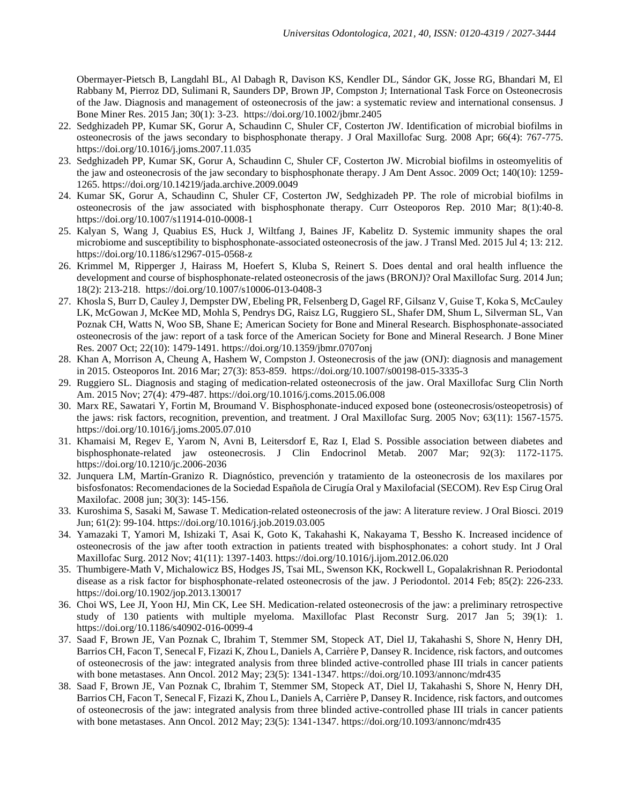Obermayer-Pietsch B, Langdahl BL, Al Dabagh R, Davison KS, Kendler DL, Sándor GK, Josse RG, Bhandari M, El Rabbany M, Pierroz DD, Sulimani R, Saunders DP, Brown JP, Compston J; International Task Force on Osteonecrosis of the Jaw. Diagnosis and management of osteonecrosis of the jaw: a systematic review and international consensus. J Bone Miner Res. 2015 Jan; 30(1): 3-23. <https://doi.org/10.1002/jbmr.2405>

- 22. Sedghizadeh PP, Kumar SK, Gorur A, Schaudinn C, Shuler CF, Costerton JW. Identification of microbial biofilms in osteonecrosis of the jaws secondary to bisphosphonate therapy. J Oral Maxillofac Surg. 2008 Apr; 66(4): 767-775. <https://doi.org/10.1016/j.joms.2007.11.035>
- 23. Sedghizadeh PP, Kumar SK, Gorur A, Schaudinn C, Shuler CF, Costerton JW. Microbial biofilms in osteomyelitis of the jaw and osteonecrosis of the jaw secondary to bisphosphonate therapy. J Am Dent Assoc. 2009 Oct; 140(10): 1259- 1265[. https://doi.org/10.14219/jada.archive.2009.0049](https://doi.org/10.14219/jada.archive.2009.0049)
- 24. Kumar SK, Gorur A, Schaudinn C, Shuler CF, Costerton JW, Sedghizadeh PP. The role of microbial biofilms in osteonecrosis of the jaw associated with bisphosphonate therapy. Curr Osteoporos Rep. 2010 Mar; 8(1):40-8. <https://doi.org/10.1007/s11914-010-0008-1>
- 25. Kalyan S, Wang J, Quabius ES, Huck J, Wiltfang J, Baines JF, Kabelitz D. Systemic immunity shapes the oral microbiome and susceptibility to bisphosphonate-associated osteonecrosis of the jaw. J Transl Med. 2015 Jul 4; 13: 212. <https://doi.org/10.1186/s12967-015-0568-z>
- 26. Krimmel M, Ripperger J, Hairass M, Hoefert S, Kluba S, Reinert S. Does dental and oral health influence the development and course of bisphosphonate-related osteonecrosis of the jaws (BRONJ)? Oral Maxillofac Surg. 2014 Jun; 18(2): 213-218. <https://doi.org/10.1007/s10006-013-0408-3>
- 27. Khosla S, Burr D, Cauley J, Dempster DW, Ebeling PR, Felsenberg D, Gagel RF, Gilsanz V, Guise T, Koka S, McCauley LK, McGowan J, McKee MD, Mohla S, Pendrys DG, Raisz LG, Ruggiero SL, Shafer DM, Shum L, Silverman SL, Van Poznak CH, Watts N, Woo SB, Shane E; American Society for Bone and Mineral Research. Bisphosphonate-associated osteonecrosis of the jaw: report of a task force of the American Society for Bone and Mineral Research. J Bone Miner Res. 2007 Oct; 22(10): 1479-1491.<https://doi.org/10.1359/jbmr.0707onj>
- 28. Khan A, Morrison A, Cheung A, Hashem W, Compston J. Osteonecrosis of the jaw (ONJ): diagnosis and management in 2015. Osteoporos Int. 2016 Mar; 27(3): 853-859. <https://doi.org/10.1007/s00198-015-3335-3>
- 29. Ruggiero SL. Diagnosis and staging of medication-related osteonecrosis of the jaw. Oral Maxillofac Surg Clin North Am. 2015 Nov; 27(4): 479-487.<https://doi.org/10.1016/j.coms.2015.06.008>
- 30. Marx RE, Sawatari Y, Fortin M, Broumand V. Bisphosphonate-induced exposed bone (osteonecrosis/osteopetrosis) of the jaws: risk factors, recognition, prevention, and treatment. J Oral Maxillofac Surg. 2005 Nov; 63(11): 1567-1575. <https://doi.org/10.1016/j.joms.2005.07.010>
- 31. Khamaisi M, Regev E, Yarom N, Avni B, Leitersdorf E, Raz I, Elad S. Possible association between diabetes and bisphosphonate-related jaw osteonecrosis. J Clin Endocrinol Metab. 2007 Mar; 92(3): 1172-1175. <https://doi.org/10.1210/jc.2006-2036>
- 32. Junquera LM, Martín-Granizo R. Diagnóstico, prevención y tratamiento de la osteonecrosis de los maxilares por bisfosfonatos: Recomendaciones de la Sociedad Española de Cirugía Oral y Maxilofacial (SECOM). Rev Esp Cirug Oral Maxilofac. 2008 jun; 30(3): 145-156.
- 33. Kuroshima S, Sasaki M, Sawase T. Medication-related osteonecrosis of the jaw: A literature review. J Oral Biosci. 2019 Jun; 61(2): 99-104.<https://doi.org/10.1016/j.job.2019.03.005>
- 34. Yamazaki T, Yamori M, Ishizaki T, Asai K, Goto K, Takahashi K, Nakayama T, Bessho K. Increased incidence of osteonecrosis of the jaw after tooth extraction in patients treated with bisphosphonates: a cohort study. Int J Oral Maxillofac Surg. 2012 Nov; 41(11): 1397-1403.<https://doi.org/10.1016/j.ijom.2012.06.020>
- 35. Thumbigere-Math V, Michalowicz BS, Hodges JS, Tsai ML, Swenson KK, Rockwell L, Gopalakrishnan R. Periodontal disease as a risk factor for bisphosphonate-related osteonecrosis of the jaw. J Periodontol. 2014 Feb; 85(2): 226-233. <https://doi.org/10.1902/jop.2013.130017>
- 36. Choi WS, Lee JI, Yoon HJ, Min CK, Lee SH. Medication-related osteonecrosis of the jaw: a preliminary retrospective study of 130 patients with multiple myeloma. Maxillofac Plast Reconstr Surg. 2017 Jan 5; 39(1): 1. <https://doi.org/10.1186/s40902-016-0099-4>
- 37. Saad F, Brown JE, Van Poznak C, Ibrahim T, Stemmer SM, Stopeck AT, Diel IJ, Takahashi S, Shore N, Henry DH, Barrios CH, Facon T, Senecal F, Fizazi K, Zhou L, Daniels A, Carrière P, Dansey R. Incidence, risk factors, and outcomes of osteonecrosis of the jaw: integrated analysis from three blinded active-controlled phase III trials in cancer patients with bone metastases. Ann Oncol. 2012 May; 23(5): 1341-1347.<https://doi.org/10.1093/annonc/mdr435>
- 38. Saad F, Brown JE, Van Poznak C, Ibrahim T, Stemmer SM, Stopeck AT, Diel IJ, Takahashi S, Shore N, Henry DH, Barrios CH, Facon T, Senecal F, Fizazi K, Zhou L, Daniels A, Carrière P, Dansey R. Incidence, risk factors, and outcomes of osteonecrosis of the jaw: integrated analysis from three blinded active-controlled phase III trials in cancer patients with bone metastases. Ann Oncol. 2012 May; 23(5): 1341-1347.<https://doi.org/10.1093/annonc/mdr435>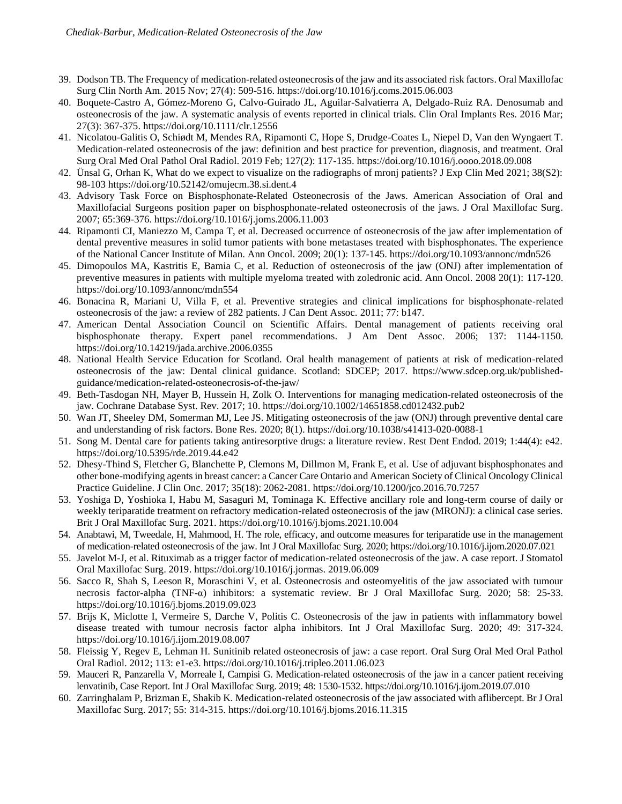- 39. Dodson TB. The Frequency of medication-related osteonecrosis of the jaw and its associated risk factors. Oral Maxillofac Surg Clin North Am. 2015 Nov; 27(4): 509-516.<https://doi.org/10.1016/j.coms.2015.06.003>
- 40. Boquete-Castro A, Gómez-Moreno G, Calvo-Guirado JL, Aguilar-Salvatierra A, Delgado-Ruiz RA. Denosumab and osteonecrosis of the jaw. A systematic analysis of events reported in clinical trials. Clin Oral Implants Res. 2016 Mar; 27(3): 367-375.<https://doi.org/10.1111/clr.12556>
- 41. Nicolatou-Galitis O, Schiødt M, Mendes RA, Ripamonti C, Hope S, Drudge-Coates L, Niepel D, Van den Wyngaert T. Medication-related osteonecrosis of the jaw: definition and best practice for prevention, diagnosis, and treatment. Oral Surg Oral Med Oral Pathol Oral Radiol. 2019 Feb; 127(2): 117-135.<https://doi.org/10.1016/j.oooo.2018.09.008>
- 42. Ünsal G, Orhan K, What do we expect to visualize on the radiographs of mronj patients? J Exp Clin Med 2021; 38(S2): 98-103<https://doi.org/10.52142/omujecm.38.si.dent.4>
- 43. Advisory Task Force on Bisphosphonate-Related Osteonecrosis of the Jaws. American Association of Oral and Maxillofacial Surgeons position paper on bisphosphonate-related osteonecrosis of the jaws. J Oral Maxillofac Surg. 2007; 65:369-376. <https://doi.org/10.1016/j.joms.2006.11.003>
- 44. Ripamonti CI, Maniezzo M, Campa T, et al. Decreased occurrence of osteonecrosis of the jaw after implementation of dental preventive measures in solid tumor patients with bone metastases treated with bisphosphonates. The experience of the National Cancer Institute of Milan. Ann Oncol. 2009; 20(1): 137-145[. https://doi.org/10.1093/annonc/mdn526](https://doi.org/10.1093/annonc/mdn526)
- 45. Dimopoulos MA, Kastritis E, Bamia C, et al. Reduction of osteonecrosis of the jaw (ONJ) after implementation of preventive measures in patients with multiple myeloma treated with zoledronic acid. Ann Oncol. 2008 20(1): 117-120. <https://doi.org/10.1093/annonc/mdn554>
- 46. Bonacina R, Mariani U, Villa F, et al. Preventive strategies and clinical implications for bisphosphonate-related osteonecrosis of the jaw: a review of 282 patients. J Can Dent Assoc. 2011; 77: b147.
- 47. American Dental Association Council on Scientific Affairs. Dental management of patients receiving oral bisphosphonate therapy. Expert panel recommendations. J Am Dent Assoc. 2006; 137: 1144-1150. <https://doi.org/10.14219/jada.archive.2006.0355>
- 48. National Health Service Education for Scotland. Oral health management of patients at risk of medication-related osteonecrosis of the jaw: Dental clinical guidance. Scotland: SDCEP; 2017. [https://www.sdcep.org.uk/published](https://www.sdcep.org.uk/published-guidance/medication-related-osteonecrosis-of-the-jaw/)[guidance/medication-related-osteonecrosis-of-the-jaw/](https://www.sdcep.org.uk/published-guidance/medication-related-osteonecrosis-of-the-jaw/)
- 49. Beth-Tasdogan NH, Mayer B, Hussein H, Zolk O. Interventions for managing medication-related osteonecrosis of the jaw. Cochrane Database Syst. Rev. 2017; 10. <https://doi.org/10.1002/14651858.cd012432.pub2>
- 50. Wan JT, Sheeley DM, Somerman MJ, Lee JS. Mitigating osteonecrosis of the jaw (ONJ) through preventive dental care and understanding of risk factors. Bone Res. 2020; 8(1). <https://doi.org/10.1038/s41413-020-0088-1>
- 51. Song M. Dental care for patients taking antiresorptive drugs: a literature review. Rest Dent Endod. 2019; 1:44(4): e42. <https://doi.org/10.5395/rde.2019.44.e42>
- 52. Dhesy-Thind S, Fletcher G, Blanchette P, Clemons M, Dillmon M, Frank E, et al. Use of adjuvant bisphosphonates and other bone-modifying agents in breast cancer: a Cancer Care Ontario and American Society of Clinical Oncology Clinical Practice Guideline. J Clin Onc. 2017; 35(18): 2062-2081. <https://doi.org/10.1200/jco.2016.70.7257>
- 53. Yoshiga D, Yoshioka I, Habu M, Sasaguri M, Tominaga K. Effective ancillary role and long-term course of daily or weekly teriparatide treatment on refractory medication-related osteonecrosis of the jaw (MRONJ): a clinical case series. Brit J Oral Maxillofac Surg. 2021[. https://doi.org/10.1016/j.bjoms.2021.10.004](https://doi.org/10.1016/j.bjoms.2021.10.004)
- 54. Anabtawi, M, Tweedale, H, Mahmood, H. The role, efficacy, and outcome measures for teriparatide use in the management of medication-related osteonecrosis of the jaw. Int J Oral Maxillofac Surg. 2020[; https://doi.org/10.1016/j.ijom.2020.07.021](https://doi.org/10.1016/j.ijom.2020.07.021)
- 55. Javelot M-J, et al. Rituximab as a trigger factor of medication-related osteonecrosis of the jaw. A case report. J Stomatol Oral Maxillofac Surg. 2019. [https://doi.org/10.1016/j.jormas.](https://doi.org/10.1016/j.jormas) 2019.06.009
- 56. Sacco R, Shah S, Leeson R, Moraschini V, et al. Osteonecrosis and osteomyelitis of the jaw associated with tumour necrosis factor-alpha (TNF-α) inhibitors: a systematic review. Br J Oral Maxillofac Surg. 2020; 58: 25-33. <https://doi.org/10.1016/j.bjoms.2019.09.023>
- 57. Brijs K, Miclotte I, Vermeire S, Darche V, Politis C. Osteonecrosis of the jaw in patients with inflammatory bowel disease treated with tumour necrosis factor alpha inhibitors. Int J Oral Maxillofac Surg. 2020; 49: 317-324. <https://doi.org/10.1016/j.ijom.2019.08.007>
- 58. Fleissig Y, Regev E, Lehman H. Sunitinib related osteonecrosis of jaw: a case report. Oral Surg Oral Med Oral Pathol Oral Radiol. 2012; 113: e1-e3.<https://doi.org/10.1016/j.tripleo.2011.06.023>
- 59. Mauceri R, Panzarella V, Morreale I, Campisi G. Medication-related osteonecrosis of the jaw in a cancer patient receiving lenvatinib, Case Report. Int J Oral Maxillofac Surg. 2019; 48: 1530-1532[. https://doi.org/10.1016/j.ijom.2019.07.010](https://doi.org/10.1016/j.ijom.2019.07.010)
- 60. Zarringhalam P, Brizman E, Shakib K. Medication-related osteonecrosis of the jaw associated with aflibercept. Br J Oral Maxillofac Surg. 2017; 55: 314-315[. https://doi.org/10.1016/j.bjoms.2016.11.315](https://doi.org/10.1016/j.bjoms.2016.11.315)